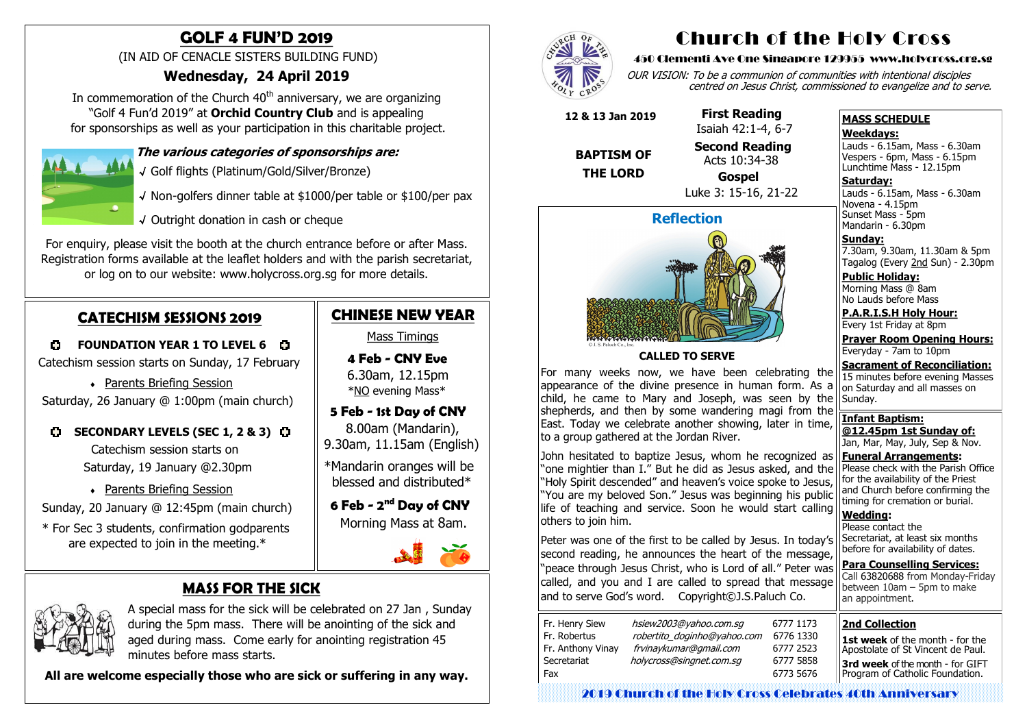# **MASS FOR THE SICK**



 A special mass for the sick will be celebrated on 27 Jan , Sunday during the 5pm mass. There will be anointing of the sick and aged during mass. Come early for anointing registration 45 minutes before mass starts.

 **All are welcome especially those who are sick or suffering in any way.**



In commemoration of the Church  $40<sup>th</sup>$  anniversary, we are organizing "Golf 4 Fun'd 2019" at **Orchid Country Club** and is appealing for sponsorships as well as your participation in this charitable project.



# **GOLF 4 FUN'D 2019**

(IN AID OF CENACLE SISTERS BUILDING FUND)

### **Wednesday, 24 April 2019**

### **The various categories of sponsorships are:**

√ Golf flights (Platinum/Gold/Silver/Bronze)

- √ Non-golfers dinner table at \$1000/per table or \$100/per pax
- √ Outright donation in cash or cheque

 6.30am, 12.15pm \*<u>NO</u> evening Mass\*

For enquiry, please visit the booth at the church entrance before or after Mass. Registration forms available at the leaflet holders and with the parish secretariat, or log on to our website: www.holycross.org.sg for more details.

## **CATECHISM SESSIONS 2019**

**C** FOUNDATION YEAR 1 TO LEVEL 6 C

Catechism session starts on Sunday, 17 February

Parents Briefing Session

Novena - 4.15pm Sunset Mass - 5pm Mandarin - 6.30pm

Saturday, 26 January @ 1:00pm (main church)

### **C** SECONDARY LEVELS (SEC 1, 2 & 3) C

 Catechism session starts on Saturday, 19 January @2.30pm

Parents Briefing Session

Sunday, 20 January @ 12:45pm (main church)

 \* For Sec 3 students, confirmation godparents are expected to join in the meeting.\*

# **CHINESE NEW YEAR**

Mass Timings

 **4 Feb - CNY Eve** 

### **5 Feb - 1st Day of CNY**

 8.00am (Mandarin), 9.30am, 11.15am (English)

\*Mandarin oranges will be blessed and distributed\*

 **6 Feb - 2 nd Day of CNY** Morning Mass at 8am.



# Church of the Holy Cross

#### 450 Clementi Ave One Singapore 129955 www.holycross.org.sg

OUR VISION: To be a communion of communities with intentional disciples centred on Jesus Christ, commissioned to evangelize and to serve.

John hesitated to baptize Jesus, whom he recognized as "one mightier than I." But he did as Jesus asked, and the "Holy Spirit descended" and heaven's voice spoke to Jesus, "You are my beloved Son." Jesus was beginning his public life of teaching and service. Soon he would start calling others to join him.

#### **MASS SCHEDULE**

#### **Weekdays:**

Lauds - 6.15am, Mass - 6.30am Vespers - 6pm, Mass - 6.15pm Lunchtime Mass - 12.15pm

**Saturday:** Lauds - 6.15am, Mass - 6.30am

**Sunday:** 7.30am, 9.30am, 11.30am & 5pm Tagalog (Every 2nd Sun) - 2.30pm

**Public Holiday:**  Morning Mass @ 8am No Lauds before Mass

**P.A.R.I.S.H Holy Hour:** Every 1st Friday at 8pm

**Prayer Room Opening Hours:** Everyday - 7am to 10pm

**Sacrament of Reconciliation:** 15 minutes before evening Masses on Saturday and all masses on Sunday.

**Infant Baptism: @12.45pm 1st Sunday of:** Jan, Mar, May, July, Sep & Nov.

**Funeral Arrangements:**  Please check with the Parish Office for the availability of the Priest and Church before confirming the timing for cremation or burial.

**Wedding:**  Please contact the Secretariat, at least six months before for availability of dates.

**Para Counselling Services:** Call [63820688](tel:+6563820688) from Monday-Friday between  $10$ am – 5pm to make an appointment.



**CALLED TO SERVE**

For many weeks now, we have been celebrating the appearance of the divine presence in human form. As a child, he came to Mary and Joseph, was seen by the shepherds, and then by some wandering magi from the East. Today we celebrate another showing, later in time, to a group gathered at the Jordan River.

Peter was one of the first to be called by Jesus. In today's second reading, he announces the heart of the message, "peace through Jesus Christ, who is Lord of all." Peter was called, and you and I are called to spread that message and to serve God's word. Copyright©J.S.Paluch Co.

| Fr. Henry Siew<br>Fr. Robertus<br>Fr. Anthony Vinay<br>Secretariat | hsiew2003@yahoo.com.sg<br>robertito_doginho@yahoo.com<br>frvinaykumar@gmail.com<br>holycross@singnet.com.sq | $\epsilon$ |
|--------------------------------------------------------------------|-------------------------------------------------------------------------------------------------------------|------------|
| Fax                                                                |                                                                                                             |            |

 **12 & 13 Jan 2019**

 **BAPTISM OF** 

 **THE LORD** 

 **First Reading** Isaiah 42:1-4, 6-7

 **Second Reading** Acts 10:34-38

 **Gospel** Luke 3: 15-16, 21-22

#### **2nd Collection**

**1st week** of the month - for the Apostolate of St Vincent de Paul. **3rd week** of the month - for GIFT Program of Catholic Foundation.

2019 Church of the Holy Cross Celebrates 40th Anniversary